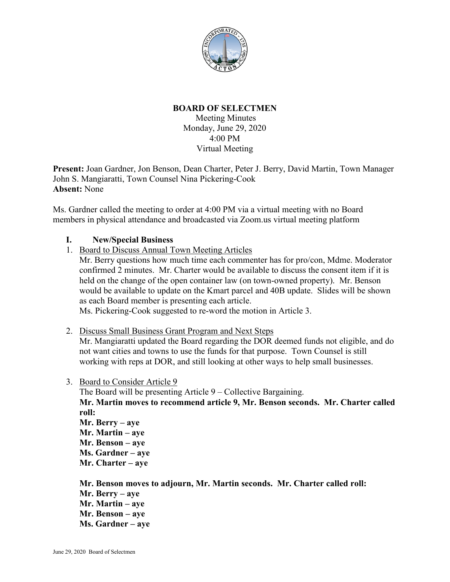

## **BOARD OF SELECTMEN**

Meeting Minutes Monday, June 29, 2020 4:00 PM Virtual Meeting

**Present:** Joan Gardner, Jon Benson, Dean Charter, Peter J. Berry, David Martin, Town Manager John S. Mangiaratti, Town Counsel Nina Pickering-Cook **Absent:** None

Ms. Gardner called the meeting to order at 4:00 PM via a virtual meeting with no Board members in physical attendance and broadcasted via Zoom.us virtual meeting platform

## **I. New/Special Business**

- 1. Board to Discuss Annual Town Meeting Articles
	- Mr. Berry questions how much time each commenter has for pro/con, Mdme. Moderator confirmed 2 minutes. Mr. Charter would be available to discuss the consent item if it is held on the change of the open container law (on town-owned property). Mr. Benson would be available to update on the Kmart parcel and 40B update. Slides will be shown as each Board member is presenting each article.

Ms. Pickering-Cook suggested to re-word the motion in Article 3.

## 2. Discuss Small Business Grant Program and Next Steps

Mr. Mangiaratti updated the Board regarding the DOR deemed funds not eligible, and do not want cities and towns to use the funds for that purpose. Town Counsel is still working with reps at DOR, and still looking at other ways to help small businesses.

3. Board to Consider Article 9

The Board will be presenting Article 9 – Collective Bargaining.

**Mr. Martin moves to recommend article 9, Mr. Benson seconds. Mr. Charter called roll:**

**Mr. Berry – aye Mr. Martin – aye Mr. Benson – aye Ms. Gardner – aye Mr. Charter – aye**

**Mr. Benson moves to adjourn, Mr. Martin seconds. Mr. Charter called roll: Mr. Berry – aye Mr. Martin – aye Mr. Benson – aye Ms. Gardner – aye**